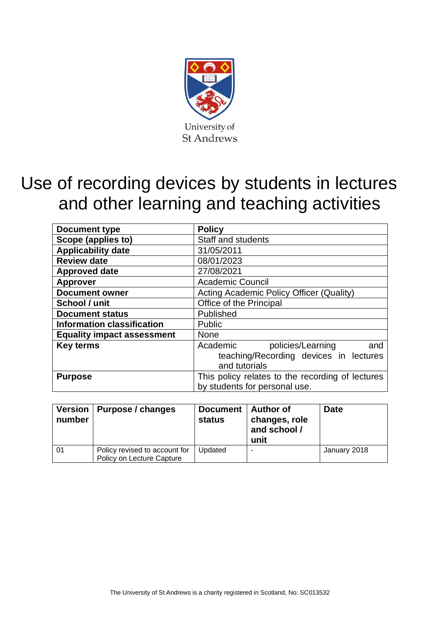

# Use of recording devices by students in lectures and other learning and teaching activities

| <b>Document type</b>              | <b>Policy</b>                                                                                   |  |  |  |
|-----------------------------------|-------------------------------------------------------------------------------------------------|--|--|--|
| Scope (applies to)                | Staff and students                                                                              |  |  |  |
| <b>Applicability date</b>         | 31/05/2011                                                                                      |  |  |  |
| <b>Review date</b>                | 08/01/2023                                                                                      |  |  |  |
| <b>Approved date</b>              | 27/08/2021                                                                                      |  |  |  |
| <b>Approver</b>                   | <b>Academic Council</b>                                                                         |  |  |  |
| <b>Document owner</b>             | Acting Academic Policy Officer (Quality)                                                        |  |  |  |
| School / unit                     | Office of the Principal                                                                         |  |  |  |
| <b>Document status</b>            | Published                                                                                       |  |  |  |
| <b>Information classification</b> | <b>Public</b>                                                                                   |  |  |  |
| <b>Equality impact assessment</b> | <b>None</b>                                                                                     |  |  |  |
| <b>Key terms</b>                  | policies/Learning<br>Academic<br>and<br>teaching/Recording devices in lectures<br>and tutorials |  |  |  |
| <b>Purpose</b>                    | This policy relates to the recording of lectures<br>by students for personal use.               |  |  |  |

| number | Version   Purpose / changes                                | Document   Author of<br>status | changes, role<br>and school /<br>unit | <b>Date</b>  |
|--------|------------------------------------------------------------|--------------------------------|---------------------------------------|--------------|
| . 01   | Policy revised to account for<br>Policy on Lecture Capture | Updated                        | ٠                                     | January 2018 |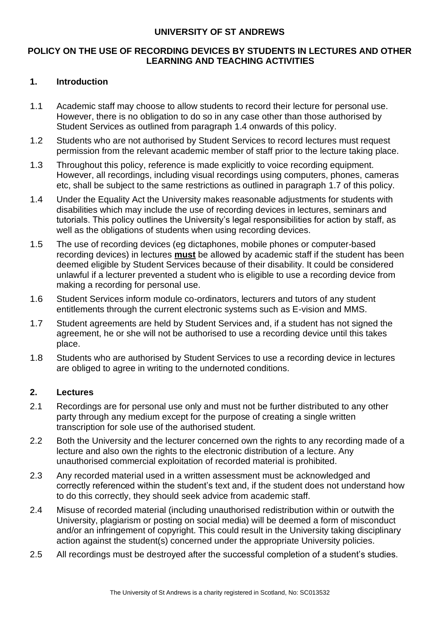#### **UNIVERSITY OF ST ANDREWS**

## **POLICY ON THE USE OF RECORDING DEVICES BY STUDENTS IN LECTURES AND OTHER LEARNING AND TEACHING ACTIVITIES**

### **1. Introduction**

- 1.1 Academic staff may choose to allow students to record their lecture for personal use. However, there is no obligation to do so in any case other than those authorised by Student Services as outlined from paragraph 1.4 onwards of this policy.
- 1.2 Students who are not authorised by Student Services to record lectures must request permission from the relevant academic member of staff prior to the lecture taking place.
- 1.3 Throughout this policy, reference is made explicitly to voice recording equipment. However, all recordings, including visual recordings using computers, phones, cameras etc, shall be subject to the same restrictions as outlined in paragraph 1.7 of this policy.
- 1.4 Under the Equality Act the University makes reasonable adjustments for students with disabilities which may include the use of recording devices in lectures, seminars and tutorials. This policy outlines the University's legal responsibilities for action by staff, as well as the obligations of students when using recording devices.
- 1.5 The use of recording devices (eg dictaphones, mobile phones or computer-based recording devices) in lectures **must** be allowed by academic staff if the student has been deemed eligible by Student Services because of their disability. It could be considered unlawful if a lecturer prevented a student who is eligible to use a recording device from making a recording for personal use.
- 1.6 Student Services inform module co-ordinators, lecturers and tutors of any student entitlements through the current electronic systems such as E-vision and MMS.
- 1.7 Student agreements are held by Student Services and, if a student has not signed the agreement, he or she will not be authorised to use a recording device until this takes place.
- 1.8 Students who are authorised by Student Services to use a recording device in lectures are obliged to agree in writing to the undernoted conditions.

#### **2. Lectures**

- 2.1 Recordings are for personal use only and must not be further distributed to any other party through any medium except for the purpose of creating a single written transcription for sole use of the authorised student.
- 2.2 Both the University and the lecturer concerned own the rights to any recording made of a lecture and also own the rights to the electronic distribution of a lecture. Any unauthorised commercial exploitation of recorded material is prohibited.
- 2.3 Any recorded material used in a written assessment must be acknowledged and correctly referenced within the student's text and, if the student does not understand how to do this correctly, they should seek advice from academic staff.
- 2.4 Misuse of recorded material (including unauthorised redistribution within or outwith the University, plagiarism or posting on social media) will be deemed a form of misconduct and/or an infringement of copyright. This could result in the University taking disciplinary action against the student(s) concerned under the appropriate University policies.
- 2.5 All recordings must be destroyed after the successful completion of a student's studies.